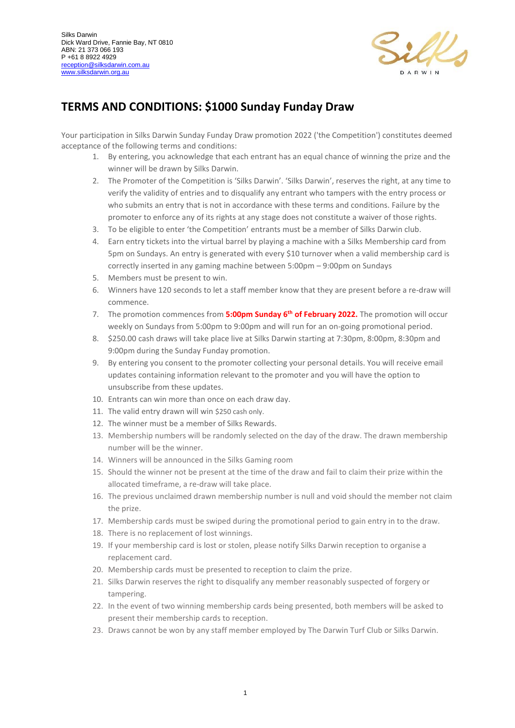

## **TERMS AND CONDITIONS: \$1000 Sunday Funday Draw**

Your participation in Silks Darwin Sunday Funday Draw promotion 2022 ('the Competition') constitutes deemed acceptance of the following terms and conditions:

- 1. By entering, you acknowledge that each entrant has an equal chance of winning the prize and the winner will be drawn by Silks Darwin.
- 2. The Promoter of the Competition is 'Silks Darwin'. 'Silks Darwin', reserves the right, at any time to verify the validity of entries and to disqualify any entrant who tampers with the entry process or who submits an entry that is not in accordance with these terms and conditions. Failure by the promoter to enforce any of its rights at any stage does not constitute a waiver of those rights.
- 3. To be eligible to enter 'the Competition' entrants must be a member of Silks Darwin club.
- 4. Earn entry tickets into the virtual barrel by playing a machine with a Silks Membership card from 5pm on Sundays. An entry is generated with every \$10 turnover when a valid membership card is correctly inserted in any gaming machine between 5:00pm – 9:00pm on Sundays
- 5. Members must be present to win.
- 6. Winners have 120 seconds to let a staff member know that they are present before a re-draw will commence.
- 7. The promotion commences from **5:00pm Sunday 6th of February 2022.** The promotion will occur weekly on Sundays from 5:00pm to 9:00pm and will run for an on-going promotional period.
- 8. \$250.00 cash draws will take place live at Silks Darwin starting at 7:30pm, 8:00pm, 8:30pm and 9:00pm during the Sunday Funday promotion.
- 9. By entering you consent to the promoter collecting your personal details. You will receive email updates containing information relevant to the promoter and you will have the option to unsubscribe from these updates.
- 10. Entrants can win more than once on each draw day.
- 11. The valid entry drawn will win \$250 cash only.
- 12. The winner must be a member of Silks Rewards.
- 13. Membership numbers will be randomly selected on the day of the draw. The drawn membership number will be the winner.
- 14. Winners will be announced in the Silks Gaming room
- 15. Should the winner not be present at the time of the draw and fail to claim their prize within the allocated timeframe, a re-draw will take place.
- 16. The previous unclaimed drawn membership number is null and void should the member not claim the prize.
- 17. Membership cards must be swiped during the promotional period to gain entry in to the draw.
- 18. There is no replacement of lost winnings.
- 19. If your membership card is lost or stolen, please notify Silks Darwin reception to organise a replacement card.
- 20. Membership cards must be presented to reception to claim the prize.
- 21. Silks Darwin reserves the right to disqualify any member reasonably suspected of forgery or tampering.
- 22. In the event of two winning membership cards being presented, both members will be asked to present their membership cards to reception.
- 23. Draws cannot be won by any staff member employed by The Darwin Turf Club or Silks Darwin.